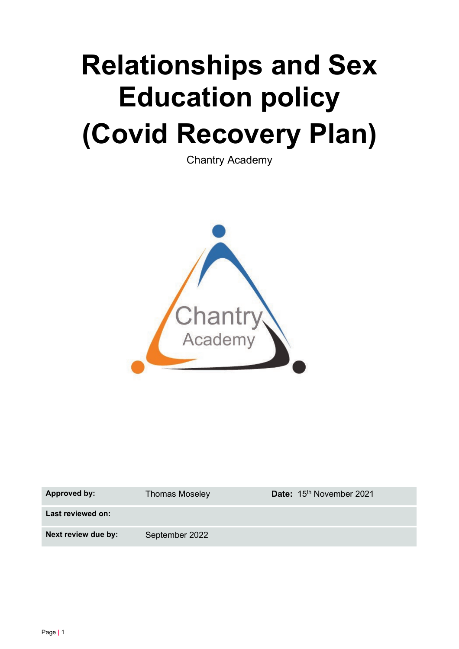# **Relationships and Sex Education policy (Covid Recovery Plan)**

Chantry Academy



| Approved by:        | <b>Thomas Moseley</b> | Date: 15th November 2021 |
|---------------------|-----------------------|--------------------------|
| Last reviewed on:   |                       |                          |
| Next review due by: | September 2022        |                          |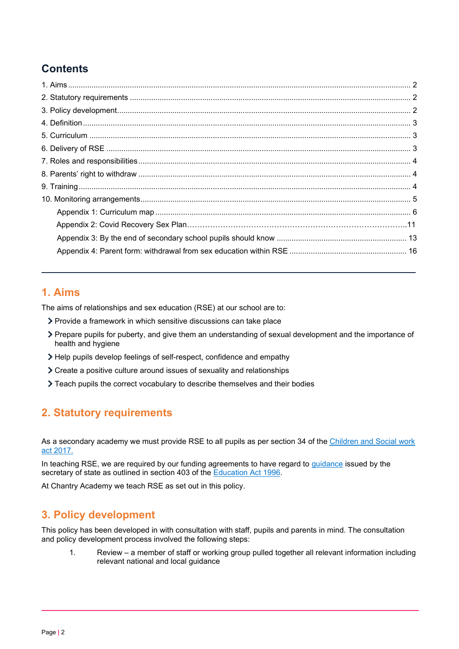# **Contents**

## <span id="page-1-0"></span>**1. Aims**

The aims of relationships and sex education (RSE) at our school are to:

- Provide a framework in which sensitive discussions can take place
- Prepare pupils for puberty, and give them an understanding of sexual development and the importance of health and hygiene
- Help pupils develop feelings of self-respect, confidence and empathy
- Create a positive culture around issues of sexuality and relationships
- Teach pupils the correct vocabulary to describe themselves and their bodies

## <span id="page-1-1"></span>**2. Statutory requirements**

As a secondary academy we must provide RSE to all pupils as per section 34 of the Children and Social work [act 2017.](http://www.legislation.gov.uk/ukpga/2017/16/section/34/enacted)

In teaching RSE, we are required by our funding agreements to have regard to *guidance* issued by the secretary of state as outlined in section 403 of the **Education Act 1996**.

At Chantry Academy we teach RSE as set out in this policy.

## <span id="page-1-2"></span>**3. Policy development**

This policy has been developed in with consultation with staff, pupils and parents in mind. The consultation and policy development process involved the following steps:

1. Review – a member of staff or working group pulled together all relevant information including relevant national and local guidance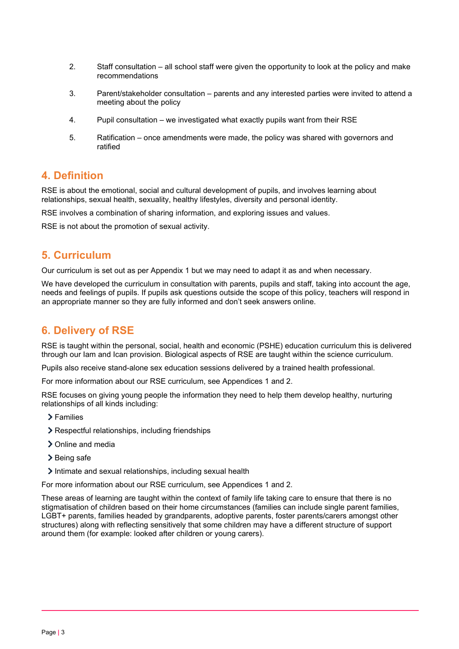- 2. Staff consultation all school staff were given the opportunity to look at the policy and make recommendations
- 3. Parent/stakeholder consultation parents and any interested parties were invited to attend a meeting about the policy
- 4. Pupil consultation we investigated what exactly pupils want from their RSE
- 5. Ratification once amendments were made, the policy was shared with governors and ratified

#### <span id="page-2-0"></span>**4. Definition**

RSE is about the emotional, social and cultural development of pupils, and involves learning about relationships, sexual health, sexuality, healthy lifestyles, diversity and personal identity.

RSE involves a combination of sharing information, and exploring issues and values.

RSE is not about the promotion of sexual activity.

#### <span id="page-2-1"></span>**5. Curriculum**

Our curriculum is set out as per Appendix 1 but we may need to adapt it as and when necessary.

We have developed the curriculum in consultation with parents, pupils and staff, taking into account the age, needs and feelings of pupils. If pupils ask questions outside the scope of this policy, teachers will respond in an appropriate manner so they are fully informed and don't seek answers online.

#### <span id="page-2-2"></span>**6. Delivery of RSE**

RSE is taught within the personal, social, health and economic (PSHE) education curriculum this is delivered through our Iam and Ican provision. Biological aspects of RSE are taught within the science curriculum.

Pupils also receive stand-alone sex education sessions delivered by a trained health professional.

For more information about our RSE curriculum, see Appendices 1 and 2.

RSE focuses on giving young people the information they need to help them develop healthy, nurturing relationships of all kinds including:

- Families
- Respectful relationships, including friendships
- > Online and media
- > Being safe
- Intimate and sexual relationships, including sexual health

For more information about our RSE curriculum, see Appendices 1 and 2.

These areas of learning are taught within the context of family life taking care to ensure that there is no stigmatisation of children based on their home circumstances (families can include single parent families, LGBT+ parents, families headed by grandparents, adoptive parents, foster parents/carers amongst other structures) along with reflecting sensitively that some children may have a different structure of support around them (for example: looked after children or young carers).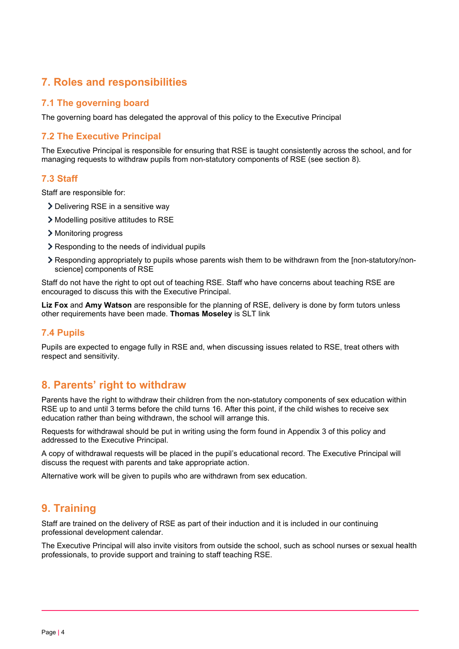## <span id="page-3-0"></span>**7. Roles and responsibilities**

#### **7.1 The governing board**

The governing board has delegated the approval of this policy to the Executive Principal

#### **7.2 The Executive Principal**

The Executive Principal is responsible for ensuring that RSE is taught consistently across the school, and for managing requests to withdraw pupils from non-statutory components of RSE (see section 8).

#### **7.3 Staff**

Staff are responsible for:

- > Delivering RSE in a sensitive way
- Modelling positive attitudes to RSE
- > Monitoring progress
- **▶ Responding to the needs of individual pupils**
- Responding appropriately to pupils whose parents wish them to be withdrawn from the [non-statutory/nonscience] components of RSE

Staff do not have the right to opt out of teaching RSE. Staff who have concerns about teaching RSE are encouraged to discuss this with the Executive Principal.

**Liz Fox** and **Amy Watson** are responsible for the planning of RSE, delivery is done by form tutors unless other requirements have been made. **Thomas Moseley** is SLT link

#### **7.4 Pupils**

Pupils are expected to engage fully in RSE and, when discussing issues related to RSE, treat others with respect and sensitivity.

## <span id="page-3-1"></span>**8. Parents' right to withdraw**

Parents have the right to withdraw their children from the non-statutory components of sex education within RSE up to and until 3 terms before the child turns 16. After this point, if the child wishes to receive sex education rather than being withdrawn, the school will arrange this.

Requests for withdrawal should be put in writing using the form found in Appendix 3 of this policy and addressed to the Executive Principal.

A copy of withdrawal requests will be placed in the pupil's educational record. The Executive Principal will discuss the request with parents and take appropriate action.

Alternative work will be given to pupils who are withdrawn from sex education.

## <span id="page-3-2"></span>**9. Training**

Staff are trained on the delivery of RSE as part of their induction and it is included in our continuing professional development calendar.

The Executive Principal will also invite visitors from outside the school, such as school nurses or sexual health professionals, to provide support and training to staff teaching RSE.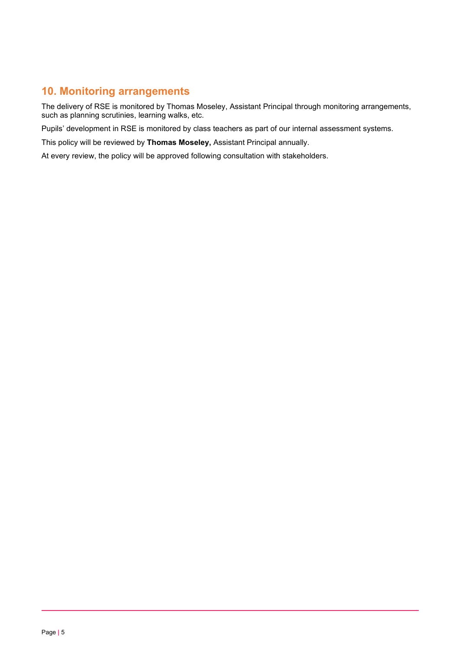## <span id="page-4-0"></span>**10. Monitoring arrangements**

The delivery of RSE is monitored by Thomas Moseley, Assistant Principal through monitoring arrangements, such as planning scrutinies, learning walks, etc.

Pupils' development in RSE is monitored by class teachers as part of our internal assessment systems.

This policy will be reviewed by **Thomas Moseley,** Assistant Principal annually.

At every review, the policy will be approved following consultation with stakeholders.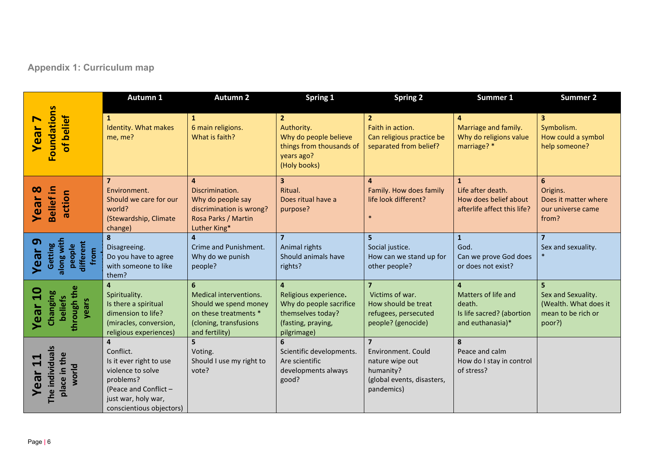# **Appendix 1: Curriculum map**

<span id="page-5-0"></span>

|                                                                                          | Autumn 1                                                                                                                                                             | <b>Autumn 2</b>                                                                                                           | <b>Spring 1</b>                                                                                                              | <b>Spring 2</b>                                                                                                  | Summer 1                                                                                         | <b>Summer 2</b>                                                             |
|------------------------------------------------------------------------------------------|----------------------------------------------------------------------------------------------------------------------------------------------------------------------|---------------------------------------------------------------------------------------------------------------------------|------------------------------------------------------------------------------------------------------------------------------|------------------------------------------------------------------------------------------------------------------|--------------------------------------------------------------------------------------------------|-----------------------------------------------------------------------------|
| <b>Foundations</b><br>of belief<br>$\blacksquare$<br>Year                                | $\mathbf{1}$<br>Identity. What makes<br>me, me?                                                                                                                      | $\mathbf{1}$<br>6 main religions.<br>What is faith?                                                                       | $\overline{2}$<br>Authority.<br>Why do people believe<br>things from thousands of<br>years ago?<br>(Holy books)              | 2 <sup>2</sup><br>Faith in action.<br>Can religious practice be<br>separated from belief?                        | $\overline{\mathbf{4}}$<br>Marriage and family.<br>Why do religions value<br>marriage? *         | $\mathbf{3}$<br>Symbolism.<br>How could a symbol<br>help someone?           |
| <b>Belief in</b><br>$\infty$<br>action<br>Year                                           | $\overline{7}$<br>Environment.<br>Should we care for our<br>world?<br>(Stewardship, Climate<br>change)                                                               | $\overline{a}$<br>Discrimination.<br>Why do people say<br>discrimination is wrong?<br>Rosa Parks / Martin<br>Luther King* | $\overline{\mathbf{3}}$<br>Ritual.<br>Does ritual have a<br>purpose?                                                         | $\overline{a}$<br>Family. How does family<br>life look different?                                                | $\mathbf{1}$<br>Life after death.<br>How does belief about<br>afterlife affect this life?        | 6<br>Origins.<br>Does it matter where<br>our universe came<br>from?         |
| along with<br>$\sigma$<br>different<br>from<br>Getting<br>people<br><b>Year</b>          | 8<br>Disagreeing.<br>Do you have to agree<br>with someone to like<br>them?                                                                                           | Crime and Punishment.<br>Why do we punish<br>people?                                                                      | $\overline{7}$<br>Animal rights<br>Should animals have<br>rights?                                                            | 5<br>Social justice.<br>How can we stand up for<br>other people?                                                 | $\mathbf{1}$<br>God.<br>Can we prove God does<br>or does not exist?                              | Sex and sexuality.                                                          |
| through the<br>Year <sub>10</sub><br>Changing<br><b>beliefs</b><br>years                 | 4<br>Spirituality.<br>Is there a spiritual<br>dimension to life?<br>(miracles, conversion,<br>religious experiences)                                                 | 6<br>Medical interventions.<br>Should we spend money<br>on these treatments *<br>(cloning, transfusions<br>and fertility) | $\overline{a}$<br>Religious experience.<br>Why do people sacrifice<br>themselves today?<br>(fasting, praying,<br>pilgrimage) | $\overline{7}$<br>Victims of war.<br>How should be treat<br>refugees, persecuted<br>people? (genocide)           | $\overline{a}$<br>Matters of life and<br>death.<br>Is life sacred? (abortion<br>and euthanasia)* | Sex and Sexuality.<br>(Wealth. What does it<br>mean to be rich or<br>poor?) |
| $\overline{\mathbf{v}}$<br>The individual<br>place in the<br>Year <sub>11</sub><br>world | $\overline{4}$<br>Conflict.<br>Is it ever right to use<br>violence to solve<br>problems?<br>(Peace and Conflict -<br>just war, holy war,<br>conscientious objectors) | 5<br>Voting.<br>Should I use my right to<br>vote?                                                                         | 6<br>Scientific developments.<br>Are scientific<br>developments always<br>good?                                              | $\overline{7}$<br>Environment, Could<br>nature wipe out<br>humanity?<br>(global events, disasters,<br>pandemics) | 8<br>Peace and calm<br>How do I stay in control<br>of stress?                                    |                                                                             |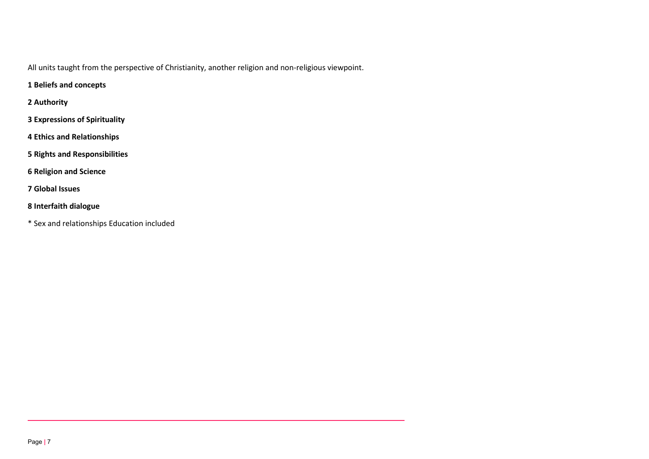All units taught from the perspective of Christianity, another religion and non-religious viewpoint.

- **1 Beliefs and concepts**
- **2 Authority**
- **3 Expressions of Spirituality**
- **4 Ethics and Relationships**
- **5 Rights and Responsibilities**
- **6 Religion and Science**
- **7 Global Issues**
- **8 Interfaith dialogue**
- \* Sex and relationships Education included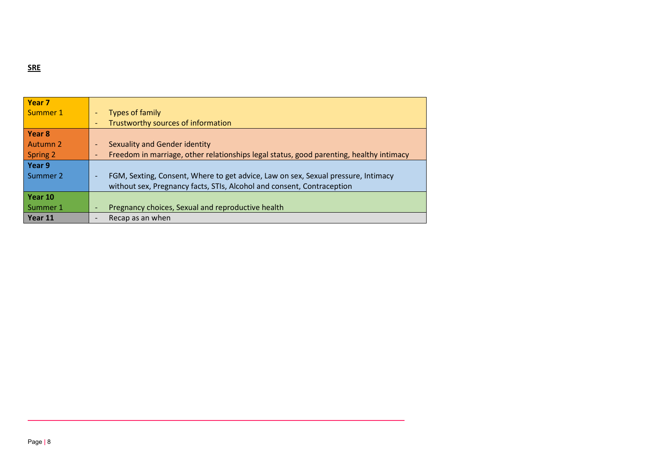**SRE**

| Year <sub>7</sub> |                                                                                         |
|-------------------|-----------------------------------------------------------------------------------------|
| Summer 1          | Types of family<br>$\overline{\phantom{0}}$                                             |
|                   | Trustworthy sources of information<br>$\overline{\phantom{0}}$                          |
| Year 8            |                                                                                         |
| Autumn 2          | Sexuality and Gender identity                                                           |
| Spring 2          | Freedom in marriage, other relationships legal status, good parenting, healthy intimacy |
| Year 9            |                                                                                         |
| Summer 2          | FGM, Sexting, Consent, Where to get advice, Law on sex, Sexual pressure, Intimacy       |
|                   | without sex, Pregnancy facts, STIs, Alcohol and consent, Contraception                  |
| Year 10           |                                                                                         |
| Summer 1          | Pregnancy choices, Sexual and reproductive health                                       |
| Year 11           | Recap as an when                                                                        |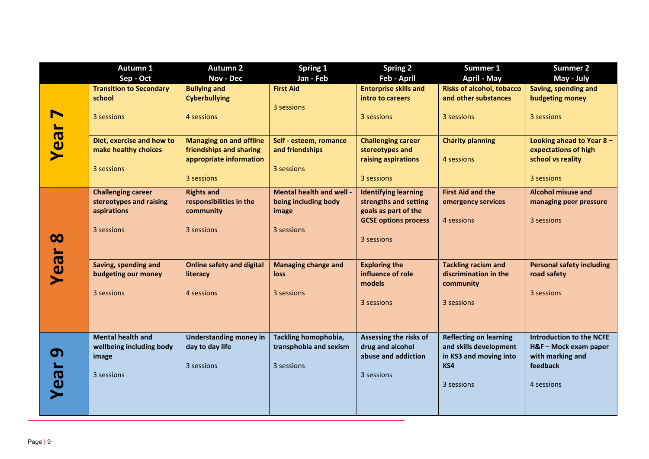|          | Autumn 1                       | <b>Autumn 2</b>                                  | Spring 1                                       | Spring 2                                            | Summer 1                                                | <b>Summer 2</b>                  |
|----------|--------------------------------|--------------------------------------------------|------------------------------------------------|-----------------------------------------------------|---------------------------------------------------------|----------------------------------|
|          | Sep - Oct                      | <b>Nov - Dec</b>                                 | Jan - Feb                                      | Feb - April                                         | <b>April - May</b>                                      | May - July                       |
|          | <b>Transition to Secondary</b> | <b>Bullying and</b>                              | <b>First Aid</b>                               | <b>Enterprise skills and</b>                        | <b>Risks of alcohol, tobacco</b>                        | Saving, spending and             |
|          | school                         | <b>Cyberbullying</b>                             |                                                | intro to careers                                    | and other substances                                    | budgeting money                  |
|          | 3 sessions                     | 4 sessions                                       | 3 sessions                                     | 3 sessions                                          | 3 sessions                                              | 3 sessions                       |
|          |                                |                                                  |                                                |                                                     |                                                         |                                  |
| Year     | Diet, exercise and how to      | <b>Managing on and offline</b>                   | Self - esteem, romance                         | <b>Challenging career</b>                           | <b>Charity planning</b>                                 | Looking ahead to Year 8 -        |
|          | make healthy choices           | friendships and sharing                          | and friendships                                | stereotypes and                                     |                                                         | expectations of high             |
|          |                                | appropriate information                          |                                                | raising aspirations                                 | 4 sessions                                              | school vs reality                |
|          | 3 sessions                     |                                                  | 3 sessions                                     |                                                     |                                                         |                                  |
|          |                                | 3 sessions                                       |                                                | 3 sessions                                          |                                                         | 3 sessions                       |
|          | <b>Challenging career</b>      | <b>Rights and</b>                                | Mental health and well -                       | <b>Identifying learning</b>                         | <b>First Aid and the</b>                                | <b>Alcohol misuse and</b>        |
|          | stereotypes and raising        | responsibilities in the                          | being including body                           | strengths and setting                               | emergency services                                      | managing peer pressure           |
|          | aspirations                    | community                                        | image                                          | goals as part of the<br><b>GCSE options process</b> | 4 sessions                                              | 3 sessions                       |
|          | 3 sessions                     | 3 sessions                                       | 3 sessions                                     |                                                     |                                                         |                                  |
| $\infty$ |                                |                                                  |                                                | 3 sessions                                          |                                                         |                                  |
|          |                                |                                                  |                                                |                                                     |                                                         |                                  |
| Year     | Saving, spending and           | <b>Online safety and digital</b>                 | <b>Managing change and</b>                     | <b>Exploring the</b>                                | <b>Tackling racism and</b>                              | <b>Personal safety including</b> |
|          | budgeting our money            | literacy                                         | loss                                           | influence of role                                   | discrimination in the                                   | road safety                      |
|          |                                |                                                  |                                                | models                                              | community                                               |                                  |
|          | 3 sessions                     | 4 sessions                                       | 3 sessions                                     |                                                     |                                                         | 3 sessions                       |
|          |                                |                                                  |                                                | 3 sessions                                          | 3 sessions                                              |                                  |
|          |                                |                                                  |                                                |                                                     |                                                         |                                  |
|          | <b>Mental health and</b>       |                                                  |                                                |                                                     |                                                         | <b>Introduction to the NCFE</b>  |
|          | wellbeing including body       | <b>Understanding money in</b><br>day to day life | Tackling homophobia,<br>transphobia and sexism | Assessing the risks of<br>drug and alcohol          | <b>Reflecting on learning</b><br>and skills development | H&F - Mock exam paper            |
| თ        | image                          |                                                  |                                                | abuse and addiction                                 | in KS3 and moving into                                  | with marking and                 |
|          |                                | 3 sessions                                       | 3 sessions                                     |                                                     | KS4                                                     | feedback                         |
|          | 3 sessions                     |                                                  |                                                | 3 sessions                                          |                                                         |                                  |
| Vea      |                                |                                                  |                                                |                                                     | 3 sessions                                              | 4 sessions                       |
|          |                                |                                                  |                                                |                                                     |                                                         |                                  |
|          |                                |                                                  |                                                |                                                     |                                                         |                                  |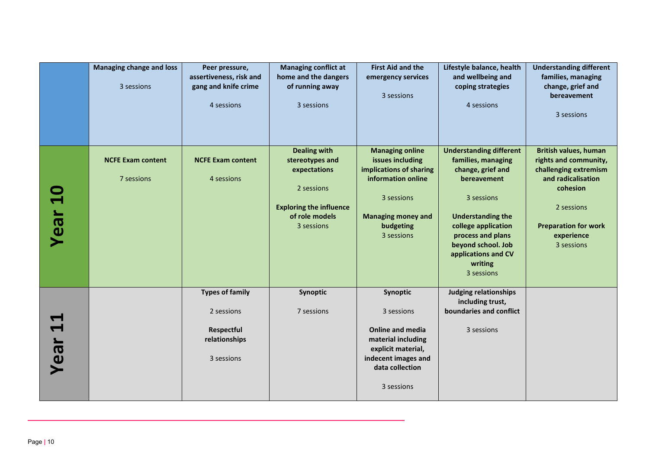|                               | <b>Managing change and loss</b><br>3 sessions | Peer pressure,<br>assertiveness, risk and<br>gang and knife crime<br>4 sessions   | <b>Managing conflict at</b><br>home and the dangers<br>of running away<br>3 sessions                                                   | <b>First Aid and the</b><br>emergency services<br>3 sessions                                                                                                      | Lifestyle balance, health<br>and wellbeing and<br>coping strategies<br>4 sessions                                                                                                                                                                    | <b>Understanding different</b><br>families, managing<br>change, grief and<br>bereavement<br>3 sessions                                                                                    |
|-------------------------------|-----------------------------------------------|-----------------------------------------------------------------------------------|----------------------------------------------------------------------------------------------------------------------------------------|-------------------------------------------------------------------------------------------------------------------------------------------------------------------|------------------------------------------------------------------------------------------------------------------------------------------------------------------------------------------------------------------------------------------------------|-------------------------------------------------------------------------------------------------------------------------------------------------------------------------------------------|
| <b>Year 10</b>                | <b>NCFE Exam content</b><br>7 sessions        | <b>NCFE Exam content</b><br>4 sessions                                            | <b>Dealing with</b><br>stereotypes and<br>expectations<br>2 sessions<br><b>Exploring the influence</b><br>of role models<br>3 sessions | <b>Managing online</b><br>issues including<br>implications of sharing<br>information online<br>3 sessions<br><b>Managing money and</b><br>budgeting<br>3 sessions | <b>Understanding different</b><br>families, managing<br>change, grief and<br>bereavement<br>3 sessions<br><b>Understanding the</b><br>college application<br>process and plans<br>beyond school. Job<br>applications and CV<br>writing<br>3 sessions | <b>British values, human</b><br>rights and community,<br>challenging extremism<br>and radicalisation<br>cohesion<br>2 sessions<br><b>Preparation for work</b><br>experience<br>3 sessions |
| $\blacktriangleleft$<br>Year: |                                               | <b>Types of family</b><br>2 sessions<br>Respectful<br>relationships<br>3 sessions | Synoptic<br>7 sessions                                                                                                                 | Synoptic<br>3 sessions<br><b>Online and media</b><br>material including<br>explicit material,<br>indecent images and<br>data collection<br>3 sessions             | <b>Judging relationships</b><br>including trust,<br>boundaries and conflict<br>3 sessions                                                                                                                                                            |                                                                                                                                                                                           |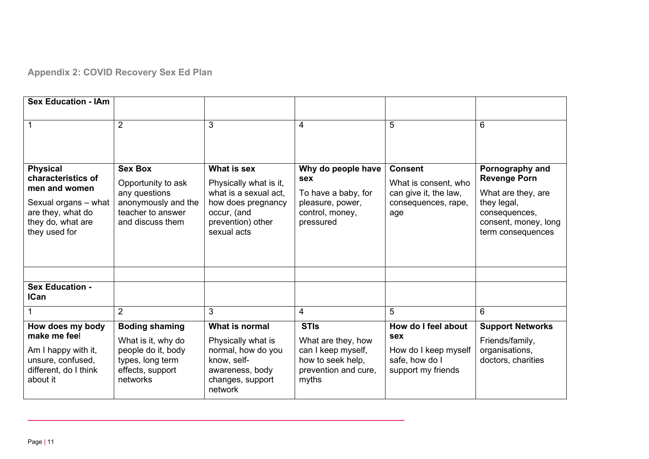# **Appendix 2: COVID Recovery Sex Ed Plan**

| <b>Sex Education - IAm</b>                                                      |                                                                                              |                                                                                                           |                                                                                                |                                                                 |                                                                           |
|---------------------------------------------------------------------------------|----------------------------------------------------------------------------------------------|-----------------------------------------------------------------------------------------------------------|------------------------------------------------------------------------------------------------|-----------------------------------------------------------------|---------------------------------------------------------------------------|
|                                                                                 | $\overline{2}$                                                                               | 3                                                                                                         | 4                                                                                              | 5                                                               | 6                                                                         |
| <b>Physical</b><br>characteristics of<br>men and women                          | <b>Sex Box</b><br>Opportunity to ask<br>any questions                                        | What is sex<br>Physically what is it,<br>what is a sexual act,                                            | Why do people have<br><b>sex</b><br>To have a baby, for                                        | <b>Consent</b><br>What is consent, who<br>can give it, the law, | Pornography and<br><b>Revenge Porn</b><br>What are they, are              |
| Sexual organs - what<br>are they, what do<br>they do, what are<br>they used for | anonymously and the<br>teacher to answer<br>and discuss them                                 | how does pregnancy<br>occur, (and<br>prevention) other<br>sexual acts                                     | pleasure, power,<br>control, money,<br>pressured                                               | consequences, rape,<br>age                                      | they legal,<br>consequences,<br>consent, money, long<br>term consequences |
|                                                                                 |                                                                                              |                                                                                                           |                                                                                                |                                                                 |                                                                           |
| <b>Sex Education -</b><br><b>ICan</b>                                           |                                                                                              |                                                                                                           |                                                                                                |                                                                 |                                                                           |
|                                                                                 | $\overline{2}$                                                                               | 3                                                                                                         | 4                                                                                              | 5                                                               | 6                                                                         |
| How does my body<br>make me feel                                                | <b>Boding shaming</b>                                                                        | What is normal                                                                                            | <b>STIs</b>                                                                                    | How do I feel about<br><b>sex</b>                               | <b>Support Networks</b>                                                   |
| Am I happy with it,<br>unsure, confused,<br>different, do I think<br>about it   | What is it, why do<br>people do it, body<br>types, long term<br>effects, support<br>networks | Physically what is<br>normal, how do you<br>know, self-<br>awareness, body<br>changes, support<br>network | What are they, how<br>can I keep myself,<br>how to seek help,<br>prevention and cure,<br>myths | How do I keep myself<br>safe, how do I<br>support my friends    | Friends/family,<br>organisations,<br>doctors, charities                   |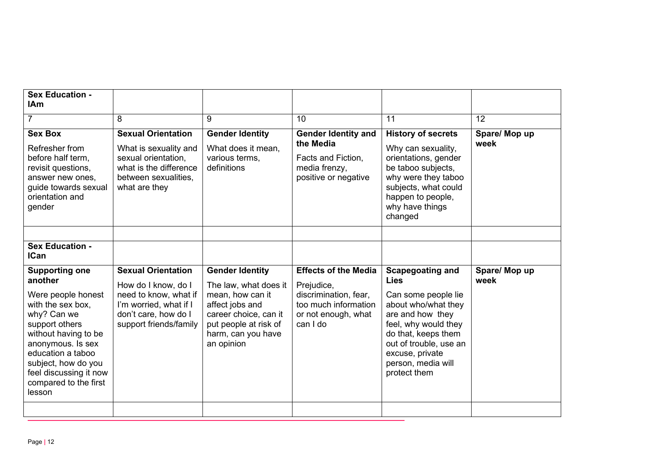| <b>Sex Education -</b><br><b>IAm</b><br><b>Sex Box</b><br>Refresher from<br>before half term.<br>revisit questions,<br>answer new ones,<br>guide towards sexual<br>orientation and<br>gender                                                                       | 8<br><b>Sexual Orientation</b><br>What is sexuality and<br>sexual orientation,<br>what is the difference<br>between sexualities.<br>what are they     | 9<br><b>Gender Identity</b><br>What does it mean,<br>various terms,<br>definitions                                                                                           | 10<br><b>Gender Identity and</b><br>the Media<br>Facts and Fiction,<br>media frenzy,<br>positive or negative                  | 11<br><b>History of secrets</b><br>Why can sexuality,<br>orientations, gender<br>be taboo subjects,<br>why were they taboo<br>subjects, what could<br>happen to people,<br>why have things<br>changed                                      | 12<br>Spare/ Mop up<br>week |
|--------------------------------------------------------------------------------------------------------------------------------------------------------------------------------------------------------------------------------------------------------------------|-------------------------------------------------------------------------------------------------------------------------------------------------------|------------------------------------------------------------------------------------------------------------------------------------------------------------------------------|-------------------------------------------------------------------------------------------------------------------------------|--------------------------------------------------------------------------------------------------------------------------------------------------------------------------------------------------------------------------------------------|-----------------------------|
| <b>Sex Education -</b><br><b>ICan</b>                                                                                                                                                                                                                              |                                                                                                                                                       |                                                                                                                                                                              |                                                                                                                               |                                                                                                                                                                                                                                            |                             |
| <b>Supporting one</b><br>another<br>Were people honest<br>with the sex box,<br>why? Can we<br>support others<br>without having to be<br>anonymous. Is sex<br>education a taboo<br>subject, how do you<br>feel discussing it now<br>compared to the first<br>lesson | <b>Sexual Orientation</b><br>How do I know, do I<br>need to know, what if<br>I'm worried, what if I<br>don't care, how do I<br>support friends/family | <b>Gender Identity</b><br>The law, what does it<br>mean, how can it<br>affect jobs and<br>career choice, can it<br>put people at risk of<br>harm, can you have<br>an opinion | <b>Effects of the Media</b><br>Prejudice,<br>discrimination, fear,<br>too much information<br>or not enough, what<br>can I do | <b>Scapegoating and</b><br><b>Lies</b><br>Can some people lie<br>about who/what they<br>are and how they<br>feel, why would they<br>do that, keeps them<br>out of trouble, use an<br>excuse, private<br>person, media will<br>protect them | Spare/ Mop up<br>week       |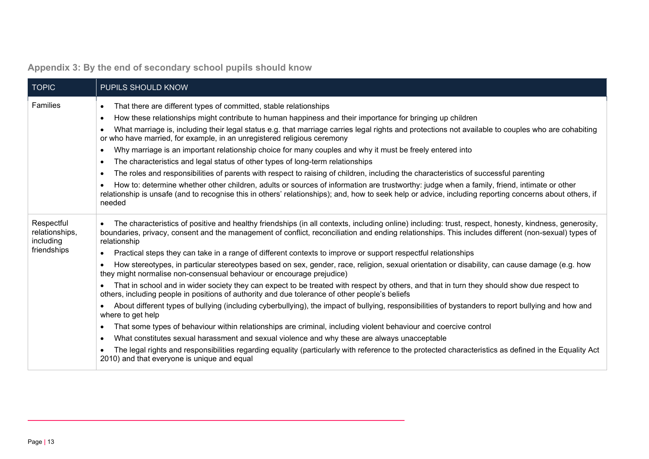<span id="page-12-0"></span>

| <b>TOPIC</b>                              | PUPILS SHOULD KNOW                                                                                                                                                                                                                                                                                                                        |
|-------------------------------------------|-------------------------------------------------------------------------------------------------------------------------------------------------------------------------------------------------------------------------------------------------------------------------------------------------------------------------------------------|
| Families                                  | That there are different types of committed, stable relationships<br>$\bullet$                                                                                                                                                                                                                                                            |
|                                           | How these relationships might contribute to human happiness and their importance for bringing up children<br>$\bullet$                                                                                                                                                                                                                    |
|                                           | What marriage is, including their legal status e.g. that marriage carries legal rights and protections not available to couples who are cohabiting<br>$\bullet$<br>or who have married, for example, in an unregistered religious ceremony                                                                                                |
|                                           | Why marriage is an important relationship choice for many couples and why it must be freely entered into<br>$\bullet$                                                                                                                                                                                                                     |
|                                           | The characteristics and legal status of other types of long-term relationships<br>$\bullet$                                                                                                                                                                                                                                               |
|                                           | The roles and responsibilities of parents with respect to raising of children, including the characteristics of successful parenting<br>$\bullet$                                                                                                                                                                                         |
|                                           | How to: determine whether other children, adults or sources of information are trustworthy: judge when a family, friend, intimate or other<br>relationship is unsafe (and to recognise this in others' relationships); and, how to seek help or advice, including reporting concerns about others, if<br>needed                           |
| Respectful<br>relationships,<br>including | The characteristics of positive and healthy friendships (in all contexts, including online) including: trust, respect, honesty, kindness, generosity,<br>$\bullet$<br>boundaries, privacy, consent and the management of conflict, reconciliation and ending relationships. This includes different (non-sexual) types of<br>relationship |
| friendships                               | Practical steps they can take in a range of different contexts to improve or support respectful relationships                                                                                                                                                                                                                             |
|                                           | How stereotypes, in particular stereotypes based on sex, gender, race, religion, sexual orientation or disability, can cause damage (e.g. how<br>$\bullet$<br>they might normalise non-consensual behaviour or encourage prejudice)                                                                                                       |
|                                           | That in school and in wider society they can expect to be treated with respect by others, and that in turn they should show due respect to<br>others, including people in positions of authority and due tolerance of other people's beliefs                                                                                              |
|                                           | About different types of bullying (including cyberbullying), the impact of bullying, responsibilities of bystanders to report bullying and how and<br>where to get help                                                                                                                                                                   |
|                                           | That some types of behaviour within relationships are criminal, including violent behaviour and coercive control<br>$\bullet$                                                                                                                                                                                                             |
|                                           | What constitutes sexual harassment and sexual violence and why these are always unacceptable<br>$\bullet$                                                                                                                                                                                                                                 |
|                                           | The legal rights and responsibilities regarding equality (particularly with reference to the protected characteristics as defined in the Equality Act<br>2010) and that everyone is unique and equal                                                                                                                                      |

# **Appendix 3: By the end of secondary school pupils should know**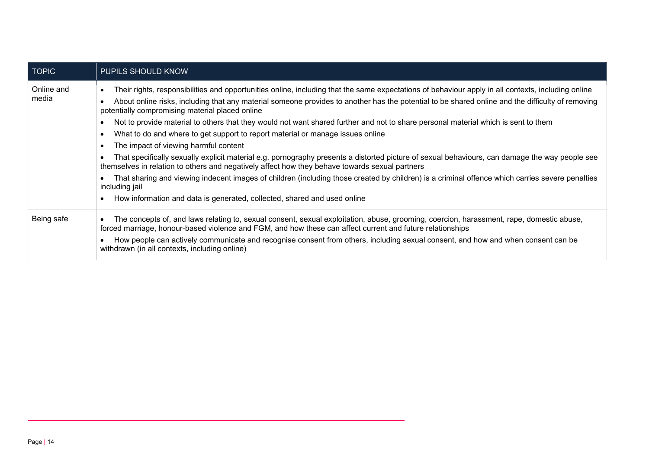| <b>TOPIC</b>        | PUPILS SHOULD KNOW                                                                                                                                                                                                                                                                                                                                                                                                                                                                                                                                                                                                                                                                                                                                                                                                                                                                                                                                                                                                                                                                                                                                                                       |
|---------------------|------------------------------------------------------------------------------------------------------------------------------------------------------------------------------------------------------------------------------------------------------------------------------------------------------------------------------------------------------------------------------------------------------------------------------------------------------------------------------------------------------------------------------------------------------------------------------------------------------------------------------------------------------------------------------------------------------------------------------------------------------------------------------------------------------------------------------------------------------------------------------------------------------------------------------------------------------------------------------------------------------------------------------------------------------------------------------------------------------------------------------------------------------------------------------------------|
| Online and<br>media | Their rights, responsibilities and opportunities online, including that the same expectations of behaviour apply in all contexts, including online<br>$\bullet$<br>About online risks, including that any material someone provides to another has the potential to be shared online and the difficulty of removing<br>potentially compromising material placed online<br>Not to provide material to others that they would not want shared further and not to share personal material which is sent to them<br>٠<br>What to do and where to get support to report material or manage issues online<br>$\bullet$<br>The impact of viewing harmful content<br>$\bullet$<br>That specifically sexually explicit material e.g. pornography presents a distorted picture of sexual behaviours, can damage the way people see<br>themselves in relation to others and negatively affect how they behave towards sexual partners<br>That sharing and viewing indecent images of children (including those created by children) is a criminal offence which carries severe penalties<br>including jail<br>How information and data is generated, collected, shared and used online<br>$\bullet$ |
| Being safe          | The concepts of, and laws relating to, sexual consent, sexual exploitation, abuse, grooming, coercion, harassment, rape, domestic abuse,<br>$\bullet$<br>forced marriage, honour-based violence and FGM, and how these can affect current and future relationships<br>How people can actively communicate and recognise consent from others, including sexual consent, and how and when consent can be<br>withdrawn (in all contexts, including online)                                                                                                                                                                                                                                                                                                                                                                                                                                                                                                                                                                                                                                                                                                                                  |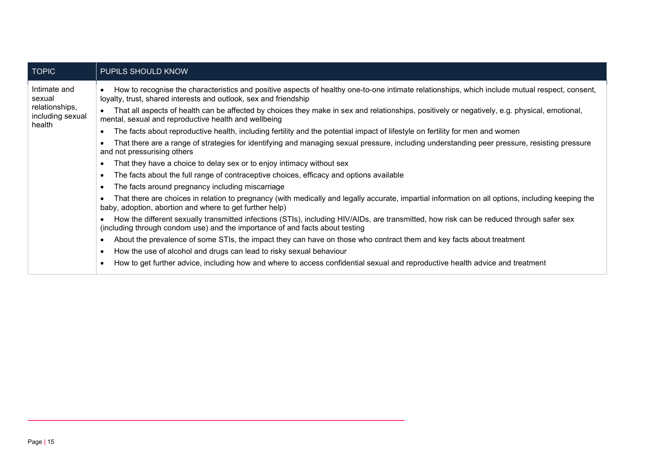| <b>TOPIC</b>                                 | PUPILS SHOULD KNOW                                                                                                                                                                                                       |
|----------------------------------------------|--------------------------------------------------------------------------------------------------------------------------------------------------------------------------------------------------------------------------|
| Intimate and<br>sexual                       | How to recognise the characteristics and positive aspects of healthy one-to-one intimate relationships, which include mutual respect, consent,<br>loyalty, trust, shared interests and outlook, sex and friendship       |
| relationships,<br>including sexual<br>health | That all aspects of health can be affected by choices they make in sex and relationships, positively or negatively, e.g. physical, emotional,<br>mental, sexual and reproductive health and wellbeing                    |
|                                              | The facts about reproductive health, including fertility and the potential impact of lifestyle on fertility for men and women                                                                                            |
|                                              | That there are a range of strategies for identifying and managing sexual pressure, including understanding peer pressure, resisting pressure<br>and not pressurising others                                              |
|                                              | That they have a choice to delay sex or to enjoy intimacy without sex                                                                                                                                                    |
|                                              | The facts about the full range of contraceptive choices, efficacy and options available<br>$\bullet$                                                                                                                     |
|                                              | The facts around pregnancy including miscarriage<br>$\bullet$                                                                                                                                                            |
|                                              | That there are choices in relation to pregnancy (with medically and legally accurate, impartial information on all options, including keeping the<br>baby, adoption, abortion and where to get further help)             |
|                                              | How the different sexually transmitted infections (STIs), including HIV/AIDs, are transmitted, how risk can be reduced through safer sex<br>(including through condom use) and the importance of and facts about testing |
|                                              | About the prevalence of some STIs, the impact they can have on those who contract them and key facts about treatment                                                                                                     |
|                                              | How the use of alcohol and drugs can lead to risky sexual behaviour<br>$\bullet$                                                                                                                                         |
|                                              | How to get further advice, including how and where to access confidential sexual and reproductive health advice and treatment<br>$\bullet$                                                                               |